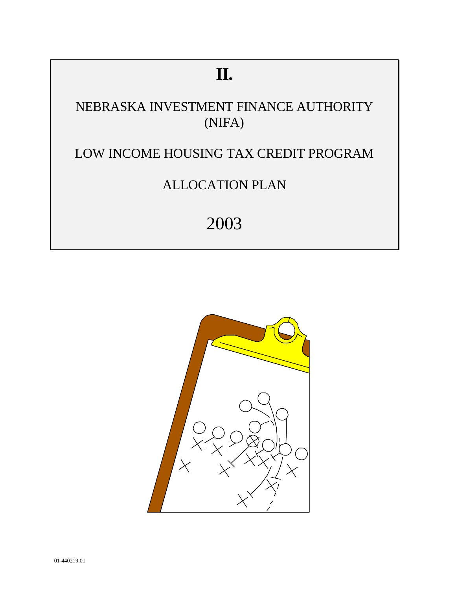# **II.**

# NEBRASKA INVESTMENT FINANCE AUTHORITY (NIFA)

# LOW INCOME HOUSING TAX CREDIT PROGRAM

# ALLOCATION PLAN

# 2003

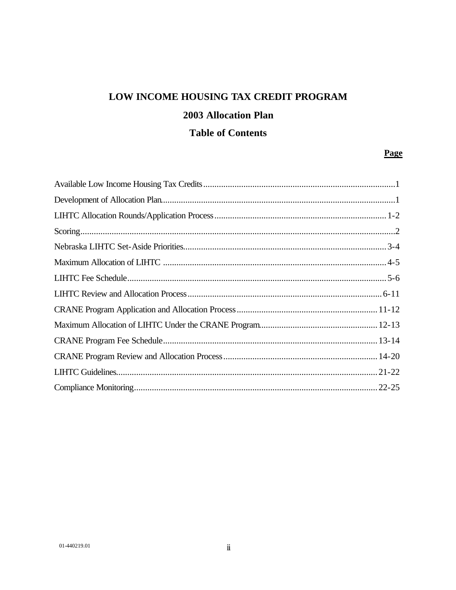### LOW INCOME HOUSING TAX CREDIT PROGRAM

### **2003 Allocation Plan**

### **Table of Contents**

#### Page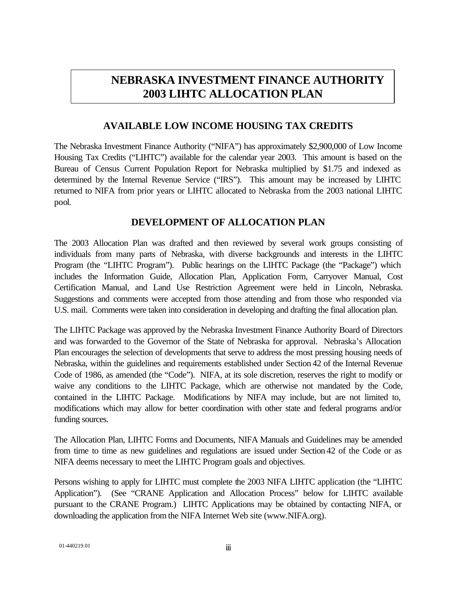### **NEBRASKA INVESTMENT FINANCE AUTHORITY 2003 LIHTC ALLOCATION PLAN**

#### **AVAILABLE LOW INCOME HOUSING TAX CREDITS**

The Nebraska Investment Finance Authority ("NIFA") has approximately \$2,900,000 of Low Income Housing Tax Credits ("LIHTC") available for the calendar year 2003. This amount is based on the Bureau of Census Current Population Report for Nebraska multiplied by \$1.75 and indexed as determined by the Internal Revenue Service ("IRS"). This amount may be increased by LIHTC returned to NIFA from prior years or LIHTC allocated to Nebraska from the 2003 national LIHTC pool.

#### **DEVELOPMENT OF ALLOCATION PLAN**

The 2003 Allocation Plan was drafted and then reviewed by several work groups consisting of individuals from many parts of Nebraska, with diverse backgrounds and interests in the LIHTC Program (the "LIHTC Program"). Public hearings on the LIHTC Package (the "Package") which includes the Information Guide, Allocation Plan, Application Form, Carryover Manual, Cost Certification Manual, and Land Use Restriction Agreement were held in Lincoln, Nebraska. Suggestions and comments were accepted from those attending and from those who responded via U.S. mail. Comments were taken into consideration in developing and drafting the final allocation plan.

The LIHTC Package was approved by the Nebraska Investment Finance Authority Board of Directors and was forwarded to the Governor of the State of Nebraska for approval. Nebraska's Allocation Plan encourages the selection of developments that serve to address the most pressing housing needs of Nebraska, within the guidelines and requirements established under Section 42 of the Internal Revenue Code of 1986, as amended (the "Code"). NIFA, at its sole discretion, reserves the right to modify or waive any conditions to the LIHTC Package, which are otherwise not mandated by the Code, contained in the LIHTC Package. Modifications by NIFA may include, but are not limited to, modifications which may allow for better coordination with other state and federal programs and/or funding sources.

The Allocation Plan, LIHTC Forms and Documents, NIFA Manuals and Guidelines may be amended from time to time as new guidelines and regulations are issued under Section 42 of the Code or as NIFA deems necessary to meet the LIHTC Program goals and objectives.

Persons wishing to apply for LIHTC must complete the 2003 NIFA LIHTC application (the "LIHTC Application"). (See "CRANE Application and Allocation Process" below for LIHTC available pursuant to the CRANE Program.) LIHTC Applications may be obtained by contacting NIFA, or downloading the application from the NIFA Internet Web site (www.NIFA.org).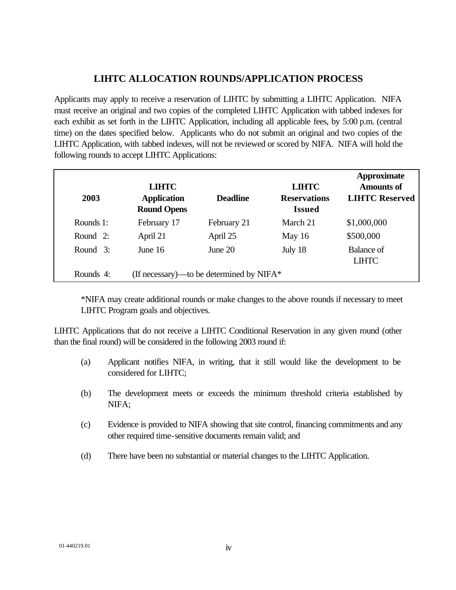#### **LIHTC ALLOCATION ROUNDS/APPLICATION PROCESS**

Applicants may apply to receive a reservation of LIHTC by submitting a LIHTC Application. NIFA must receive an original and two copies of the completed LIHTC Application with tabbed indexes for each exhibit as set forth in the LIHTC Application, including all applicable fees, by 5:00 p.m. (central time) on the dates specified below. Applicants who do not submit an original and two copies of the LIHTC Application, with tabbed indexes, will not be reviewed or scored by NIFA. NIFA will hold the following rounds to accept LIHTC Applications:

| 2003      | <b>LIHTC</b><br><b>Application</b><br><b>Round Opens</b> | <b>Deadline</b>                          | <b>LIHTC</b><br><b>Reservations</b><br><b>Issued</b> | <b>Approximate</b><br><b>Amounts of</b><br><b>LIHTC Reserved</b> |
|-----------|----------------------------------------------------------|------------------------------------------|------------------------------------------------------|------------------------------------------------------------------|
| Rounds 1: | February 17                                              | February 21                              | March 21                                             | \$1,000,000                                                      |
| Round 2:  | April 21                                                 | April 25                                 | May $16$                                             | \$500,000                                                        |
| Round 3:  | June $16$                                                | June $20$                                | July 18                                              | Balance of<br><b>LIHTC</b>                                       |
| Rounds 4: |                                                          | (If necessary)—to be determined by NIFA* |                                                      |                                                                  |

\*NIFA may create additional rounds or make changes to the above rounds if necessary to meet LIHTC Program goals and objectives.

LIHTC Applications that do not receive a LIHTC Conditional Reservation in any given round (other than the final round) will be considered in the following 2003 round if:

- (a) Applicant notifies NIFA, in writing, that it still would like the development to be considered for LIHTC;
- (b) The development meets or exceeds the minimum threshold criteria established by NIFA;
- (c) Evidence is provided to NIFA showing that site control, financing commitments and any other required time-sensitive documents remain valid; and
- (d) There have been no substantial or material changes to the LIHTC Application.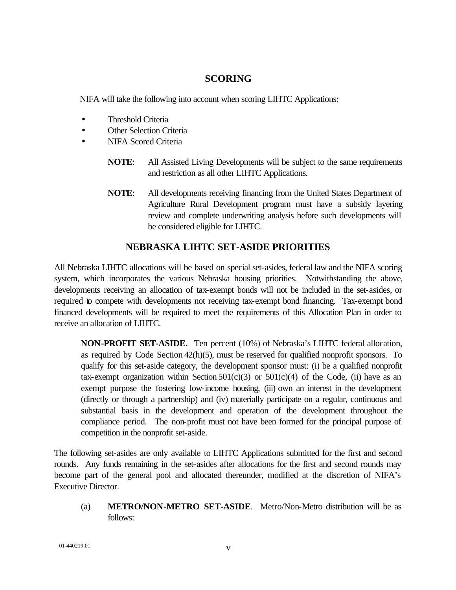#### **SCORING**

NIFA will take the following into account when scoring LIHTC Applications:

- Threshold Criteria
- Other Selection Criteria
- NIFA Scored Criteria
	- **NOTE**: All Assisted Living Developments will be subject to the same requirements and restriction as all other LIHTC Applications.
	- **NOTE**: All developments receiving financing from the United States Department of Agriculture Rural Development program must have a subsidy layering review and complete underwriting analysis before such developments will be considered eligible for LIHTC.

#### **NEBRASKA LIHTC SET-ASIDE PRIORITIES**

All Nebraska LIHTC allocations will be based on special set-asides, federal law and the NIFA scoring system, which incorporates the various Nebraska housing priorities. Notwithstanding the above, developments receiving an allocation of tax-exempt bonds will not be included in the set-asides, or required to compete with developments not receiving tax-exempt bond financing. Tax-exempt bond financed developments will be required to meet the requirements of this Allocation Plan in order to receive an allocation of LIHTC.

**NON-PROFIT SET-ASIDE.** Ten percent (10%) of Nebraska's LIHTC federal allocation, as required by Code Section 42(h)(5), must be reserved for qualified nonprofit sponsors. To qualify for this set-aside category, the development sponsor must: (i) be a qualified nonprofit tax-exempt organization within Section  $501(c)(3)$  or  $501(c)(4)$  of the Code, (ii) have as an exempt purpose the fostering low-income housing, (iii) own an interest in the development (directly or through a partnership) and (iv) materially participate on a regular, continuous and substantial basis in the development and operation of the development throughout the compliance period. The non-profit must not have been formed for the principal purpose of competition in the nonprofit set-aside.

The following set-asides are only available to LIHTC Applications submitted for the first and second rounds. Any funds remaining in the set-asides after allocations for the first and second rounds may become part of the general pool and allocated thereunder, modified at the discretion of NIFA's Executive Director.

(a) **METRO/NON-METRO SET-ASIDE**. Metro/Non-Metro distribution will be as follows: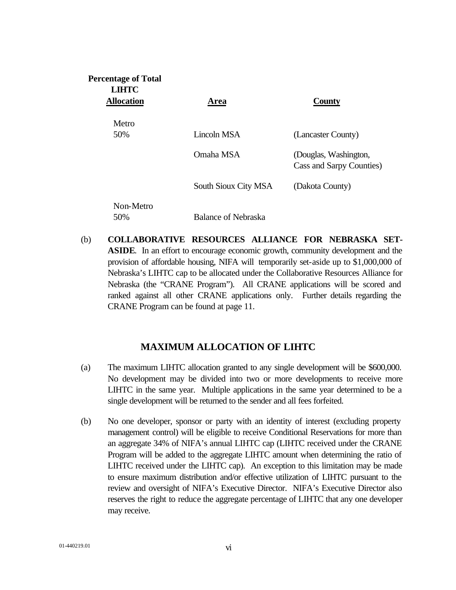| <b>Percentage of Total</b><br><b>LIHTC</b> |                      |                                                   |
|--------------------------------------------|----------------------|---------------------------------------------------|
| <b>Allocation</b>                          | Area                 | <b>County</b>                                     |
| Metro                                      |                      |                                                   |
| 50%                                        | Lincoln MSA          | (Lancaster County)                                |
|                                            | Omaha MSA            | (Douglas, Washington,<br>Cass and Sarpy Counties) |
|                                            | South Sioux City MSA | (Dakota County)                                   |
| Non-Metro                                  |                      |                                                   |
| 50%                                        | Balance of Nebraska  |                                                   |

(b) **COLLABORATIVE RESOURCES ALLIANCE FOR NEBRASKA SET-ASIDE**. In an effort to encourage economic growth, community development and the provision of affordable housing, NIFA will temporarily set-aside up to \$1,000,000 of Nebraska's LIHTC cap to be allocated under the Collaborative Resources Alliance for Nebraska (the "CRANE Program"). All CRANE applications will be scored and ranked against all other CRANE applications only. Further details regarding the CRANE Program can be found at page 11.

#### **MAXIMUM ALLOCATION OF LIHTC**

- (a) The maximum LIHTC allocation granted to any single development will be \$600,000. No development may be divided into two or more developments to receive more LIHTC in the same year. Multiple applications in the same year determined to be a single development will be returned to the sender and all fees forfeited.
- (b) No one developer, sponsor or party with an identity of interest (excluding property management control) will be eligible to receive Conditional Reservations for more than an aggregate 34% of NIFA's annual LIHTC cap (LIHTC received under the CRANE Program will be added to the aggregate LIHTC amount when determining the ratio of LIHTC received under the LIHTC cap). An exception to this limitation may be made to ensure maximum distribution and/or effective utilization of LIHTC pursuant to the review and oversight of NIFA's Executive Director. NIFA's Executive Director also reserves the right to reduce the aggregate percentage of LIHTC that any one developer may receive.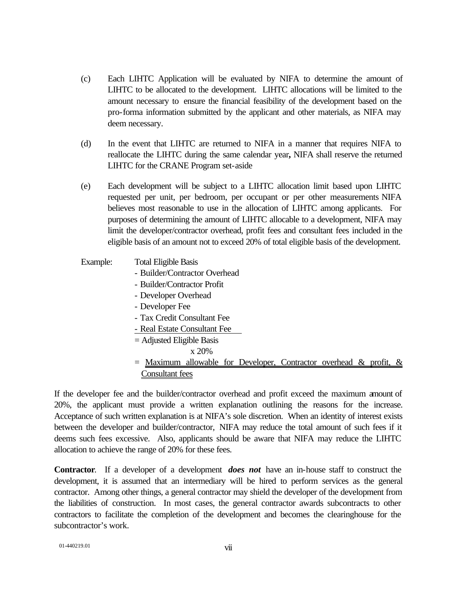- (c) Each LIHTC Application will be evaluated by NIFA to determine the amount of LIHTC to be allocated to the development. LIHTC allocations will be limited to the amount necessary to ensure the financial feasibility of the development based on the pro-forma information submitted by the applicant and other materials, as NIFA may deem necessary.
- (d) In the event that LIHTC are returned to NIFA in a manner that requires NIFA to reallocate the LIHTC during the same calendar year**,** NIFA shall reserve the returned LIHTC for the CRANE Program set-aside
- (e) Each development will be subject to a LIHTC allocation limit based upon LIHTC requested per unit, per bedroom, per occupant or per other measurements NIFA believes most reasonable to use in the allocation of LIHTC among applicants. For purposes of determining the amount of LIHTC allocable to a development, NIFA may limit the developer/contractor overhead, profit fees and consultant fees included in the eligible basis of an amount not to exceed 20% of total eligible basis of the development.
- Example: Total Eligible Basis
	- Builder/Contractor Overhead
	- Builder/Contractor Profit
	- Developer Overhead
	- Developer Fee
	- Tax Credit Consultant Fee
	- Real Estate Consultant Fee
	- = Adjusted Eligible Basis
		- x 20%
	- $=$  Maximum allowable for Developer, Contractor overhead & profit,  $\&$ Consultant fees

If the developer fee and the builder/contractor overhead and profit exceed the maximum amount of 20%, the applicant must provide a written explanation outlining the reasons for the increase. Acceptance of such written explanation is at NIFA's sole discretion. When an identity of interest exists between the developer and builder/contractor, NIFA may reduce the total amount of such fees if it deems such fees excessive. Also, applicants should be aware that NIFA may reduce the LIHTC allocation to achieve the range of 20% for these fees.

**Contractor**. If a developer of a development *does not* have an in-house staff to construct the development, it is assumed that an intermediary will be hired to perform services as the general contractor. Among other things, a general contractor may shield the developer of the development from the liabilities of construction. In most cases, the general contractor awards subcontracts to other contractors to facilitate the completion of the development and becomes the clearinghouse for the subcontractor's work.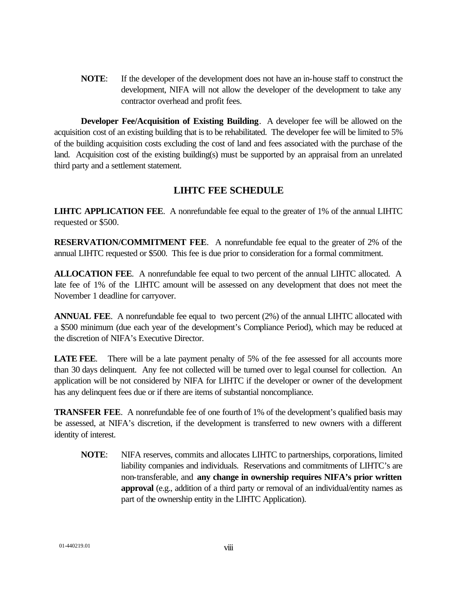**NOTE**: If the developer of the development does not have an in-house staff to construct the development, NIFA will not allow the developer of the development to take any contractor overhead and profit fees.

**Developer Fee/Acquisition of Existing Building**. A developer fee will be allowed on the acquisition cost of an existing building that is to be rehabilitated. The developer fee will be limited to 5% of the building acquisition costs excluding the cost of land and fees associated with the purchase of the land. Acquisition cost of the existing building(s) must be supported by an appraisal from an unrelated third party and a settlement statement.

#### **LIHTC FEE SCHEDULE**

**LIHTC APPLICATION FEE**. A nonrefundable fee equal to the greater of 1% of the annual LIHTC requested or \$500.

**RESERVATION/COMMITMENT FEE**. A nonrefundable fee equal to the greater of 2% of the annual LIHTC requested or \$500. This fee is due prior to consideration for a formal commitment.

**ALLOCATION FEE**. A nonrefundable fee equal to two percent of the annual LIHTC allocated. A late fee of 1% of the LIHTC amount will be assessed on any development that does not meet the November 1 deadline for carryover.

**ANNUAL FEE**. A nonrefundable fee equal to two percent (2%) of the annual LIHTC allocated with a \$500 minimum (due each year of the development's Compliance Period), which may be reduced at the discretion of NIFA's Executive Director.

**LATE FEE.** There will be a late payment penalty of 5% of the fee assessed for all accounts more than 30 days delinquent. Any fee not collected will be turned over to legal counsel for collection. An application will be not considered by NIFA for LIHTC if the developer or owner of the development has any delinquent fees due or if there are items of substantial noncompliance.

**TRANSFER FEE.** A nonrefundable fee of one fourth of 1% of the development's qualified basis may be assessed, at NIFA's discretion, if the development is transferred to new owners with a different identity of interest.

**NOTE**: NIFA reserves, commits and allocates LIHTC to partnerships, corporations, limited liability companies and individuals. Reservations and commitments of LIHTC's are non-transferable, and **any change in ownership requires NIFA's prior written approval** (e.g., addition of a third party or removal of an individual/entity names as part of the ownership entity in the LIHTC Application).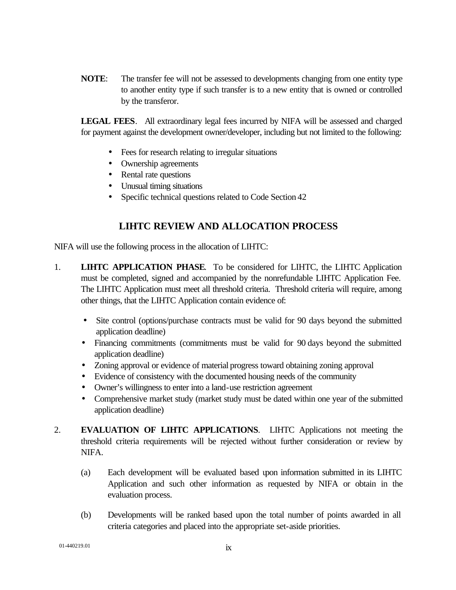**NOTE**: The transfer fee will not be assessed to developments changing from one entity type to another entity type if such transfer is to a new entity that is owned or controlled by the transferor.

**LEGAL FEES**. All extraordinary legal fees incurred by NIFA will be assessed and charged for payment against the development owner/developer, including but not limited to the following:

- Fees for research relating to irregular situations
- Ownership agreements
- Rental rate questions
- Unusual timing situations
- Specific technical questions related to Code Section 42

#### **LIHTC REVIEW AND ALLOCATION PROCESS**

NIFA will use the following process in the allocation of LIHTC:

- 1. **LIHTC APPLICATION PHASE**. To be considered for LIHTC, the LIHTC Application must be completed, signed and accompanied by the nonrefundable LIHTC Application Fee. The LIHTC Application must meet all threshold criteria. Threshold criteria will require, among other things, that the LIHTC Application contain evidence of:
	- Site control (options/purchase contracts must be valid for 90 days beyond the submitted application deadline)
	- Financing commitments (commitments must be valid for 90 days beyond the submitted application deadline)
	- Zoning approval or evidence of material progress toward obtaining zoning approval
	- Evidence of consistency with the documented housing needs of the community
	- Owner's willingness to enter into a land-use restriction agreement
	- Comprehensive market study (market study must be dated within one year of the submitted application deadline)
- 2. **EVALUATION OF LIHTC APPLICATIONS**. LIHTC Applications not meeting the threshold criteria requirements will be rejected without further consideration or review by NIFA.
	- (a) Each development will be evaluated based upon information submitted in its LIHTC Application and such other information as requested by NIFA or obtain in the evaluation process.
	- (b) Developments will be ranked based upon the total number of points awarded in all criteria categories and placed into the appropriate set-aside priorities.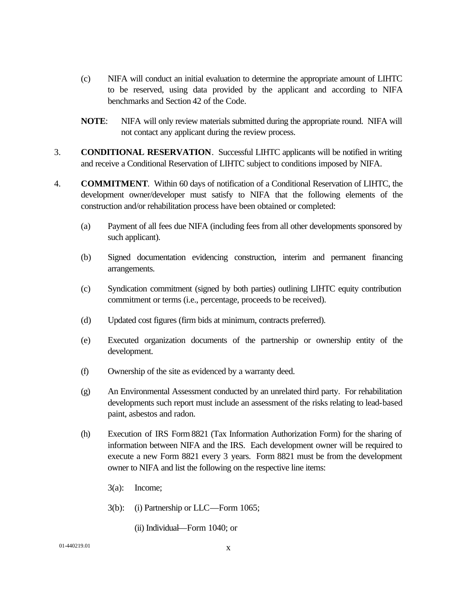- (c) NIFA will conduct an initial evaluation to determine the appropriate amount of LIHTC to be reserved, using data provided by the applicant and according to NIFA benchmarks and Section 42 of the Code.
- **NOTE**: NIFA will only review materials submitted during the appropriate round. NIFA will not contact any applicant during the review process.
- 3. **CONDITIONAL RESERVATION**. Successful LIHTC applicants will be notified in writing and receive a Conditional Reservation of LIHTC subject to conditions imposed by NIFA.
- 4. **COMMITMENT**. Within 60 days of notification of a Conditional Reservation of LIHTC, the development owner/developer must satisfy to NIFA that the following elements of the construction and/or rehabilitation process have been obtained or completed:
	- (a) Payment of all fees due NIFA (including fees from all other developments sponsored by such applicant).
	- (b) Signed documentation evidencing construction, interim and permanent financing arrangements.
	- (c) Syndication commitment (signed by both parties) outlining LIHTC equity contribution commitment or terms (i.e., percentage, proceeds to be received).
	- (d) Updated cost figures (firm bids at minimum, contracts preferred).
	- (e) Executed organization documents of the partnership or ownership entity of the development.
	- (f) Ownership of the site as evidenced by a warranty deed.
	- (g) An Environmental Assessment conducted by an unrelated third party. For rehabilitation developments such report must include an assessment of the risks relating to lead-based paint, asbestos and radon.
	- (h) Execution of IRS Form 8821 (Tax Information Authorization Form) for the sharing of information between NIFA and the IRS. Each development owner will be required to execute a new Form 8821 every 3 years. Form 8821 must be from the development owner to NIFA and list the following on the respective line items:
		- 3(a): Income;
		- 3(b): (i) Partnership or LLC—Form 1065;
			- (ii) Individual—Form 1040; or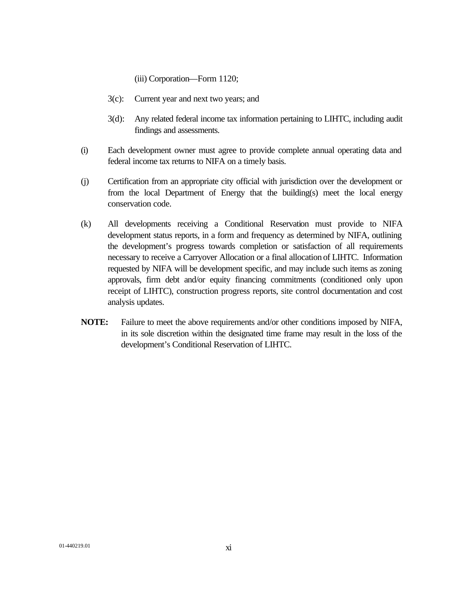(iii) Corporation—Form 1120;

- 3(c): Current year and next two years; and
- 3(d): Any related federal income tax information pertaining to LIHTC, including audit findings and assessments.
- (i) Each development owner must agree to provide complete annual operating data and federal income tax returns to NIFA on a timely basis.
- (j) Certification from an appropriate city official with jurisdiction over the development or from the local Department of Energy that the building(s) meet the local energy conservation code.
- (k) All developments receiving a Conditional Reservation must provide to NIFA development status reports, in a form and frequency as determined by NIFA, outlining the development's progress towards completion or satisfaction of all requirements necessary to receive a Carryover Allocation or a final allocation of LIHTC. Information requested by NIFA will be development specific, and may include such items as zoning approvals, firm debt and/or equity financing commitments (conditioned only upon receipt of LIHTC), construction progress reports, site control documentation and cost analysis updates.
- **NOTE:** Failure to meet the above requirements and/or other conditions imposed by NIFA, in its sole discretion within the designated time frame may result in the loss of the development's Conditional Reservation of LIHTC.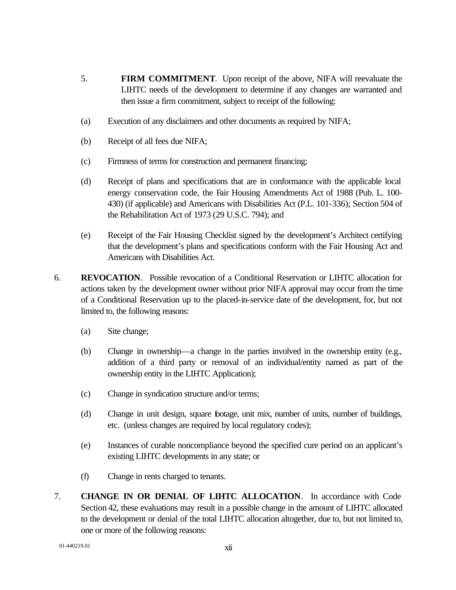- 5. **FIRM COMMITMENT**. Upon receipt of the above, NIFA will reevaluate the LIHTC needs of the development to determine if any changes are warranted and then issue a firm commitment, subject to receipt of the following:
- (a) Execution of any disclaimers and other documents as required by NIFA;
- (b) Receipt of all fees due NIFA;
- (c) Firmness of terms for construction and permanent financing;
- (d) Receipt of plans and specifications that are in conformance with the applicable local energy conservation code, the Fair Housing Amendments Act of 1988 (Pub. L. 100- 430) (if applicable) and Americans with Disabilities Act (P.L. 101-336); Section 504 of the Rehabilitation Act of 1973 (29 U.S.C. 794); and
- (e) Receipt of the Fair Housing Checklist signed by the development's Architect certifying that the development's plans and specifications conform with the Fair Housing Act and Americans with Disabilities Act.
- 6. **REVOCATION**.Possible revocation of a Conditional Reservation or LIHTC allocation for actions taken by the development owner without prior NIFA approval may occur from the time of a Conditional Reservation up to the placed-in-service date of the development, for, but not limited to, the following reasons:
	- (a) Site change;
	- (b) Change in ownership—a change in the parties involved in the ownership entity (e.g., addition of a third party or removal of an individual/entity named as part of the ownership entity in the LIHTC Application);
	- (c) Change in syndication structure and/or terms;
	- (d) Change in unit design, square footage, unit mix, number of units, number of buildings, etc. (unless changes are required by local regulatory codes);
	- (e) Instances of curable noncompliance beyond the specified cure period on an applicant's existing LIHTC developments in any state; or
	- (f) Change in rents charged to tenants.
- 7. **CHANGE IN OR DENIAL OF LIHTC ALLOCATION**. In accordance with Code Section 42, these evaluations may result in a possible change in the amount of LIHTC allocated to the development or denial of the total LIHTC allocation altogether, due to, but not limited to, one or more of the following reasons: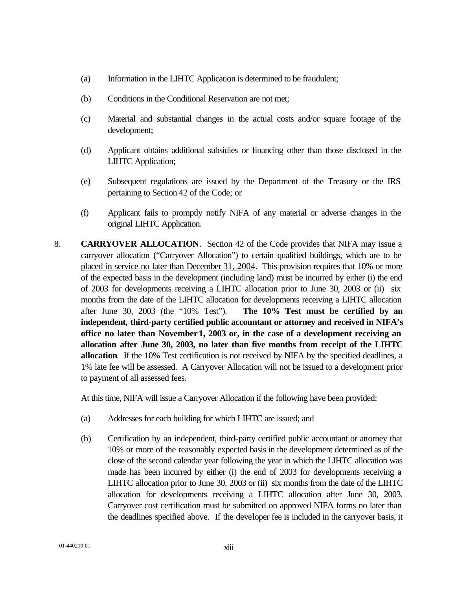- (a) Information in the LIHTC Application is determined to be fraudulent;
- (b) Conditions in the Conditional Reservation are not met;
- (c) Material and substantial changes in the actual costs and/or square footage of the development;
- (d) Applicant obtains additional subsidies or financing other than those disclosed in the LIHTC Application;
- (e) Subsequent regulations are issued by the Department of the Treasury or the IRS pertaining to Section 42 of the Code; or
- (f) Applicant fails to promptly notify NIFA of any material or adverse changes in the original LIHTC Application.
- 8. **CARRYOVER ALLOCATION**. Section 42 of the Code provides that NIFA may issue a carryover allocation ("Carryover Allocation") to certain qualified buildings, which are to be placed in service no later than December 31, 2004. This provision requires that 10% or more of the expected basis in the development (including land) must be incurred by either (i) the end of 2003 for developments receiving a LIHTC allocation prior to June 30, 2003 or (ii) six months from the date of the LIHTC allocation for developments receiving a LIHTC allocation after June 30, 2003 (the "10% Test"). **The 10% Test must be certified by an independent, third-party certified public accountant or attorney and received in NIFA's office no later than November1, 2003 or, in the case of a development receiving an allocation after June 30, 2003, no later than five months from receipt of the LIHTC allocation**. If the 10% Test certification is not received by NIFA by the specified deadlines, a 1% late fee will be assessed. A Carryover Allocation will not be issued to a development prior to payment of all assessed fees.

At this time, NIFA will issue a Carryover Allocation if the following have been provided:

- (a) Addresses for each building for which LIHTC are issued; and
- (b) Certification by an independent, third-party certified public accountant or attorney that 10% or more of the reasonably expected basis in the development determined as of the close of the second calendar year following the year in which the LIHTC allocation was made has been incurred by either (i) the end of 2003 for developments receiving a LIHTC allocation prior to June 30, 2003 or (ii) six months from the date of the LIHTC allocation for developments receiving a LIHTC allocation after June 30, 2003. Carryover cost certification must be submitted on approved NIFA forms no later than the deadlines specified above. If the developer fee is included in the carryover basis, it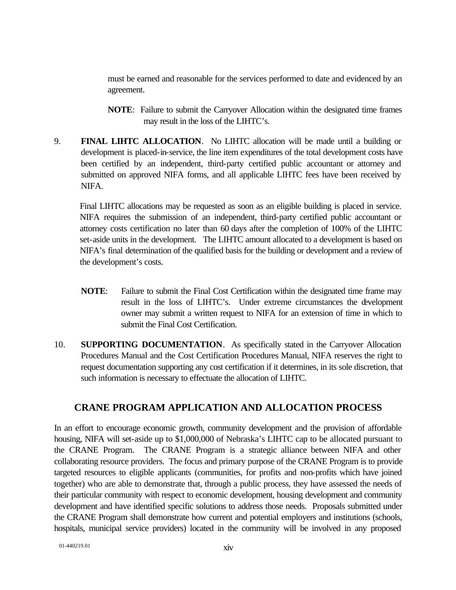must be earned and reasonable for the services performed to date and evidenced by an agreement.

- **NOTE**: Failure to submit the Carryover Allocation within the designated time frames may result in the loss of the LIHTC's.
- 9. **FINAL LIHTC ALLOCATION**. No LIHTC allocation will be made until a building or development is placed-in-service, the line item expenditures of the total development costs have been certified by an independent, third-party certified public accountant or attorney and submitted on approved NIFA forms, and all applicable LIHTC fees have been received by NIFA.

Final LIHTC allocations may be requested as soon as an eligible building is placed in service. NIFA requires the submission of an independent, third-party certified public accountant or attorney costs certification no later than 60 days after the completion of 100% of the LIHTC set-aside units in the development. The LIHTC amount allocated to a development is based on NIFA's final determination of the qualified basis for the building or development and a review of the development's costs.

- **NOTE**: Failure to submit the Final Cost Certification within the designated time frame may result in the loss of LIHTC's. Under extreme circumstances the development owner may submit a written request to NIFA for an extension of time in which to submit the Final Cost Certification.
- 10. **SUPPORTING DOCUMENTATION**. As specifically stated in the Carryover Allocation Procedures Manual and the Cost Certification Procedures Manual, NIFA reserves the right to request documentation supporting any cost certification if it determines, in its sole discretion, that such information is necessary to effectuate the allocation of LIHTC.

#### **CRANE PROGRAM APPLICATION AND ALLOCATION PROCESS**

In an effort to encourage economic growth, community development and the provision of affordable housing, NIFA will set-aside up to \$1,000,000 of Nebraska's LIHTC cap to be allocated pursuant to the CRANE Program. The CRANE Program is a strategic alliance between NIFA and other collaborating resource providers. The focus and primary purpose of the CRANE Program is to provide targeted resources to eligible applicants (communities, for profits and non-profits which have joined together) who are able to demonstrate that, through a public process, they have assessed the needs of their particular community with respect to economic development, housing development and community development and have identified specific solutions to address those needs. Proposals submitted under the CRANE Program shall demonstrate how current and potential employers and institutions (schools, hospitals, municipal service providers) located in the community will be involved in any proposed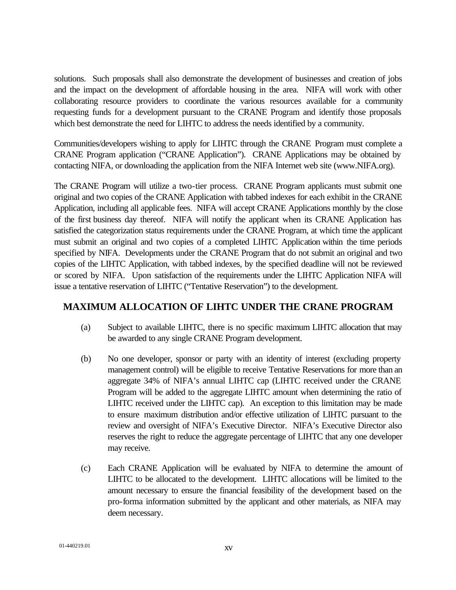solutions. Such proposals shall also demonstrate the development of businesses and creation of jobs and the impact on the development of affordable housing in the area. NIFA will work with other collaborating resource providers to coordinate the various resources available for a community requesting funds for a development pursuant to the CRANE Program and identify those proposals which best demonstrate the need for LIHTC to address the needs identified by a community.

Communities/developers wishing to apply for LIHTC through the CRANE Program must complete a CRANE Program application ("CRANE Application"). CRANE Applications may be obtained by contacting NIFA, or downloading the application from the NIFA Internet web site (www.NIFA.org).

The CRANE Program will utilize a two-tier process. CRANE Program applicants must submit one original and two copies of the CRANE Application with tabbed indexes for each exhibit in the CRANE Application, including all applicable fees. NIFA will accept CRANE Applications monthly by the close of the first business day thereof. NIFA will notify the applicant when its CRANE Application has satisfied the categorization status requirements under the CRANE Program, at which time the applicant must submit an original and two copies of a completed LIHTC Application within the time periods specified by NIFA. Developments under the CRANE Program that do not submit an original and two copies of the LIHTC Application, with tabbed indexes, by the specified deadline will not be reviewed or scored by NIFA. Upon satisfaction of the requirements under the LIHTC Application NIFA will issue a tentative reservation of LIHTC ("Tentative Reservation") to the development.

#### **MAXIMUM ALLOCATION OF LIHTC UNDER THE CRANE PROGRAM**

- (a) Subject to available LIHTC, there is no specific maximum LIHTC allocation that may be awarded to any single CRANE Program development.
- (b) No one developer, sponsor or party with an identity of interest (excluding property management control) will be eligible to receive Tentative Reservations for more than an aggregate 34% of NIFA's annual LIHTC cap (LIHTC received under the CRANE Program will be added to the aggregate LIHTC amount when determining the ratio of LIHTC received under the LIHTC cap). An exception to this limitation may be made to ensure maximum distribution and/or effective utilization of LIHTC pursuant to the review and oversight of NIFA's Executive Director. NIFA's Executive Director also reserves the right to reduce the aggregate percentage of LIHTC that any one developer may receive.
- (c) Each CRANE Application will be evaluated by NIFA to determine the amount of LIHTC to be allocated to the development. LIHTC allocations will be limited to the amount necessary to ensure the financial feasibility of the development based on the pro-forma information submitted by the applicant and other materials, as NIFA may deem necessary.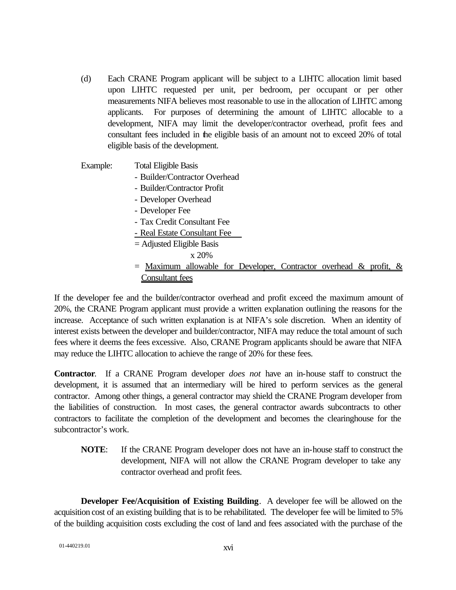- (d) Each CRANE Program applicant will be subject to a LIHTC allocation limit based upon LIHTC requested per unit, per bedroom, per occupant or per other measurements NIFA believes most reasonable to use in the allocation of LIHTC among applicants. For purposes of determining the amount of LIHTC allocable to a development, NIFA may limit the developer/contractor overhead, profit fees and consultant fees included in the eligible basis of an amount not to exceed 20% of total eligible basis of the development.
- Example: Total Eligible Basis
	- Builder/Contractor Overhead
	- Builder/Contractor Profit
	- Developer Overhead
	- Developer Fee
	- Tax Credit Consultant Fee
	- Real Estate Consultant Fee
	- = Adjusted Eligible Basis

x 20%

 $=$  Maximum allowable for Developer, Contractor overhead & profit, & Consultant fees

If the developer fee and the builder/contractor overhead and profit exceed the maximum amount of 20%, the CRANE Program applicant must provide a written explanation outlining the reasons for the increase. Acceptance of such written explanation is at NIFA's sole discretion. When an identity of interest exists between the developer and builder/contractor, NIFA may reduce the total amount of such fees where it deems the fees excessive. Also, CRANE Program applicants should be aware that NIFA may reduce the LIHTC allocation to achieve the range of 20% for these fees.

**Contractor**. If a CRANE Program developer *does not* have an in-house staff to construct the development, it is assumed that an intermediary will be hired to perform services as the general contractor. Among other things, a general contractor may shield the CRANE Program developer from the liabilities of construction. In most cases, the general contractor awards subcontracts to other contractors to facilitate the completion of the development and becomes the clearinghouse for the subcontractor's work.

**NOTE**: If the CRANE Program developer does not have an in-house staff to construct the development, NIFA will not allow the CRANE Program developer to take any contractor overhead and profit fees.

**Developer Fee/Acquisition of Existing Building**. A developer fee will be allowed on the acquisition cost of an existing building that is to be rehabilitated. The developer fee will be limited to 5% of the building acquisition costs excluding the cost of land and fees associated with the purchase of the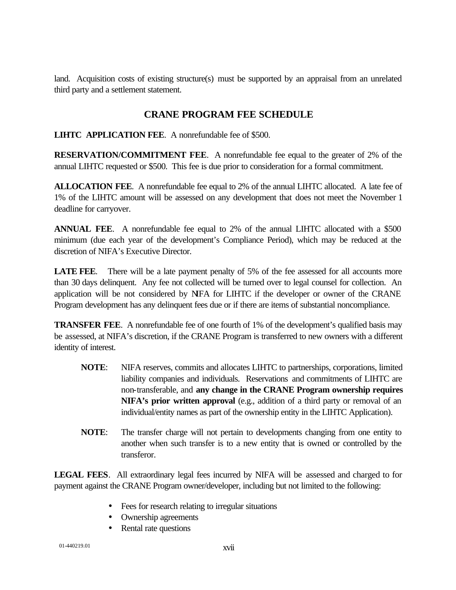land. Acquisition costs of existing structure(s) must be supported by an appraisal from an unrelated third party and a settlement statement.

#### **CRANE PROGRAM FEE SCHEDULE**

**LIHTC APPLICATION FEE**. A nonrefundable fee of \$500.

**RESERVATION/COMMITMENT FEE**. A nonrefundable fee equal to the greater of 2% of the annual LIHTC requested or \$500. This fee is due prior to consideration for a formal commitment.

**ALLOCATION FEE**. A nonrefundable fee equal to 2% of the annual LIHTC allocated. A late fee of 1% of the LIHTC amount will be assessed on any development that does not meet the November 1 deadline for carryover.

**ANNUAL FEE**. A nonrefundable fee equal to 2% of the annual LIHTC allocated with a \$500 minimum (due each year of the development's Compliance Period), which may be reduced at the discretion of NIFA's Executive Director.

**LATE FEE.** There will be a late payment penalty of 5% of the fee assessed for all accounts more than 30 days delinquent. Any fee not collected will be turned over to legal counsel for collection. An application will be not considered by NIFA for LIHTC if the developer or owner of the CRANE Program development has any delinquent fees due or if there are items of substantial noncompliance.

**TRANSFER FEE.** A nonrefundable fee of one fourth of 1% of the development's qualified basis may be assessed, at NIFA's discretion, if the CRANE Program is transferred to new owners with a different identity of interest.

- **NOTE**: NIFA reserves, commits and allocates LIHTC to partnerships, corporations, limited liability companies and individuals. Reservations and commitments of LIHTC are non-transferable, and **any change in the CRANE Program ownership requires NIFA's prior written approval** (e.g., addition of a third party or removal of an individual/entity names as part of the ownership entity in the LIHTC Application).
- **NOTE**: The transfer charge will not pertain to developments changing from one entity to another when such transfer is to a new entity that is owned or controlled by the transferor.

**LEGAL FEES**. All extraordinary legal fees incurred by NIFA will be assessed and charged to for payment against the CRANE Program owner/developer, including but not limited to the following:

- Fees for research relating to irregular situations
- Ownership agreements
- Rental rate questions

01-440219.01 xvii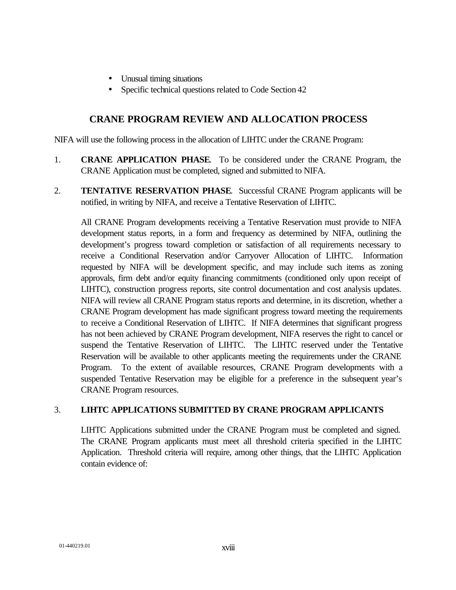- Unusual timing situations
- Specific technical questions related to Code Section 42

#### **CRANE PROGRAM REVIEW AND ALLOCATION PROCESS**

NIFA will use the following process in the allocation of LIHTC under the CRANE Program:

- 1. **CRANE APPLICATION PHASE**. To be considered under the CRANE Program, the CRANE Application must be completed, signed and submitted to NIFA.
- 2. **TENTATIVE RESERVATION PHASE**. Successful CRANE Program applicants will be notified, in writing by NIFA, and receive a Tentative Reservation of LIHTC.

All CRANE Program developments receiving a Tentative Reservation must provide to NIFA development status reports, in a form and frequency as determined by NIFA, outlining the development's progress toward completion or satisfaction of all requirements necessary to receive a Conditional Reservation and/or Carryover Allocation of LIHTC. Information requested by NIFA will be development specific, and may include such items as zoning approvals, firm debt and/or equity financing commitments (conditioned only upon receipt of LIHTC), construction progress reports, site control documentation and cost analysis updates. NIFA will review all CRANE Program status reports and determine, in its discretion, whether a CRANE Program development has made significant progress toward meeting the requirements to receive a Conditional Reservation of LIHTC. If NIFA determines that significant progress has not been achieved by CRANE Program development, NIFA reserves the right to cancel or suspend the Tentative Reservation of LIHTC. The LIHTC reserved under the Tentative Reservation will be available to other applicants meeting the requirements under the CRANE Program. To the extent of available resources, CRANE Program developments with a suspended Tentative Reservation may be eligible for a preference in the subsequent year's CRANE Program resources.

#### 3. **LIHTC APPLICATIONS SUBMITTED BY CRANE PROGRAM APPLICANTS**

LIHTC Applications submitted under the CRANE Program must be completed and signed. The CRANE Program applicants must meet all threshold criteria specified in the LIHTC Application. Threshold criteria will require, among other things, that the LIHTC Application contain evidence of: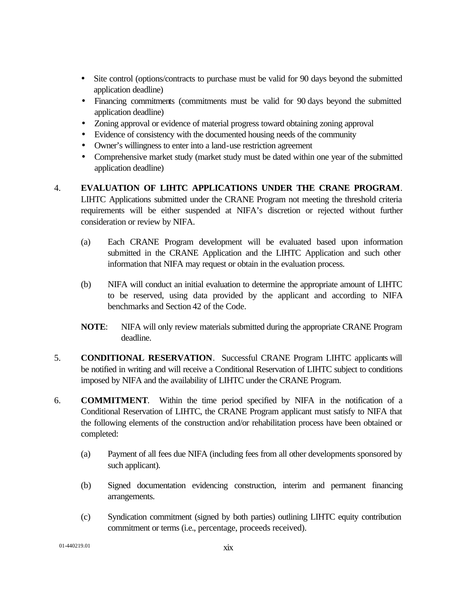- Site control (options/contracts to purchase must be valid for 90 days beyond the submitted application deadline)
- Financing commitments (commitments must be valid for 90 days beyond the submitted application deadline)
- Zoning approval or evidence of material progress toward obtaining zoning approval
- Evidence of consistency with the documented housing needs of the community
- Owner's willingness to enter into a land-use restriction agreement
- Comprehensive market study (market study must be dated within one year of the submitted application deadline)
- 4. **EVALUATION OF LIHTC APPLICATIONS UNDER THE CRANE PROGRAM**. LIHTC Applications submitted under the CRANE Program not meeting the threshold criteria requirements will be either suspended at NIFA's discretion or rejected without further consideration or review by NIFA.
	- (a) Each CRANE Program development will be evaluated based upon information submitted in the CRANE Application and the LIHTC Application and such other information that NIFA may request or obtain in the evaluation process.
	- (b) NIFA will conduct an initial evaluation to determine the appropriate amount of LIHTC to be reserved, using data provided by the applicant and according to NIFA benchmarks and Section 42 of the Code.
	- **NOTE**: NIFA will only review materials submitted during the appropriate CRANE Program deadline.
- 5. **CONDITIONAL RESERVATION**. Successful CRANE Program LIHTC applicants will be notified in writing and will receive a Conditional Reservation of LIHTC subject to conditions imposed by NIFA and the availability of LIHTC under the CRANE Program.
- 6. **COMMITMENT**. Within the time period specified by NIFA in the notification of a Conditional Reservation of LIHTC, the CRANE Program applicant must satisfy to NIFA that the following elements of the construction and/or rehabilitation process have been obtained or completed:
	- (a) Payment of all fees due NIFA (including fees from all other developments sponsored by such applicant).
	- (b) Signed documentation evidencing construction, interim and permanent financing arrangements.
	- (c) Syndication commitment (signed by both parties) outlining LIHTC equity contribution commitment or terms (i.e., percentage, proceeds received).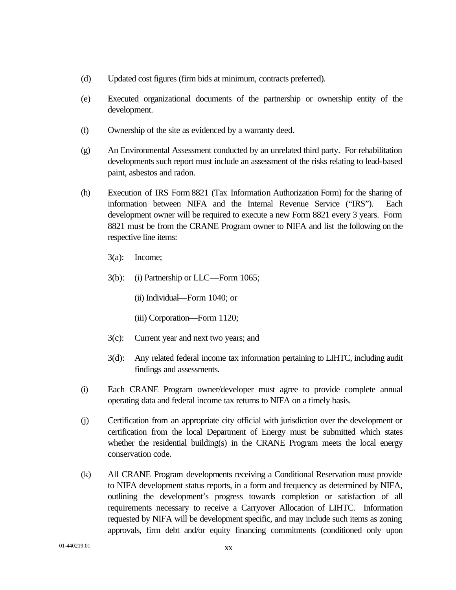- (d) Updated cost figures (firm bids at minimum, contracts preferred).
- (e) Executed organizational documents of the partnership or ownership entity of the development.
- (f) Ownership of the site as evidenced by a warranty deed.
- (g) An Environmental Assessment conducted by an unrelated third party. For rehabilitation developments such report must include an assessment of the risks relating to lead-based paint, asbestos and radon.
- (h) Execution of IRS Form 8821 (Tax Information Authorization Form) for the sharing of information between NIFA and the Internal Revenue Service ("IRS"). Each development owner will be required to execute a new Form 8821 every 3 years. Form 8821 must be from the CRANE Program owner to NIFA and list the following on the respective line items:
	- 3(a): Income;
	- 3(b): (i) Partnership or LLC—Form 1065;
		- (ii) Individual—Form 1040; or
		- (iii) Corporation—Form 1120;
	- 3(c): Current year and next two years; and
	- 3(d): Any related federal income tax information pertaining to LIHTC, including audit findings and assessments.
- (i) Each CRANE Program owner/developer must agree to provide complete annual operating data and federal income tax returns to NIFA on a timely basis.
- (j) Certification from an appropriate city official with jurisdiction over the development or certification from the local Department of Energy must be submitted which states whether the residential building(s) in the CRANE Program meets the local energy conservation code.
- (k) All CRANE Program developments receiving a Conditional Reservation must provide to NIFA development status reports, in a form and frequency as determined by NIFA, outlining the development's progress towards completion or satisfaction of all requirements necessary to receive a Carryover Allocation of LIHTC. Information requested by NIFA will be development specific, and may include such items as zoning approvals, firm debt and/or equity financing commitments (conditioned only upon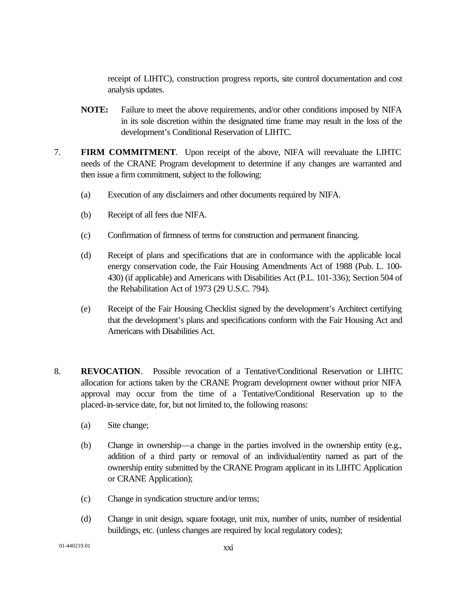receipt of LIHTC), construction progress reports, site control documentation and cost analysis updates.

- **NOTE:** Failure to meet the above requirements, and/or other conditions imposed by NIFA in its sole discretion within the designated time frame may result in the loss of the development's Conditional Reservation of LIHTC.
- 7. **FIRM COMMITMENT**. Upon receipt of the above, NIFA will reevaluate the LIHTC needs of the CRANE Program development to determine if any changes are warranted and then issue a firm commitment, subject to the following:
	- (a) Execution of any disclaimers and other documents required by NIFA.
	- (b) Receipt of all fees due NIFA.
	- (c) Confirmation of firmness of terms for construction and permanent financing.
	- (d) Receipt of plans and specifications that are in conformance with the applicable local energy conservation code, the Fair Housing Amendments Act of 1988 (Pub. L. 100- 430) (if applicable) and Americans with Disabilities Act (P.L. 101-336); Section 504 of the Rehabilitation Act of 1973 (29 U.S.C. 794).
	- (e) Receipt of the Fair Housing Checklist signed by the development's Architect certifying that the development's plans and specifications conform with the Fair Housing Act and Americans with Disabilities Act.
- 8. **REVOCATION**.Possible revocation of a Tentative/Conditional Reservation or LIHTC allocation for actions taken by the CRANE Program development owner without prior NIFA approval may occur from the time of a Tentative/Conditional Reservation up to the placed-in-service date, for, but not limited to, the following reasons:
	- (a) Site change;
	- (b) Change in ownership—a change in the parties involved in the ownership entity (e.g., addition of a third party or removal of an individual/entity named as part of the ownership entity submitted by the CRANE Program applicant in its LIHTC Application or CRANE Application);
	- (c) Change in syndication structure and/or terms;
	- (d) Change in unit design, square footage, unit mix, number of units, number of residential buildings, etc. (unless changes are required by local regulatory codes);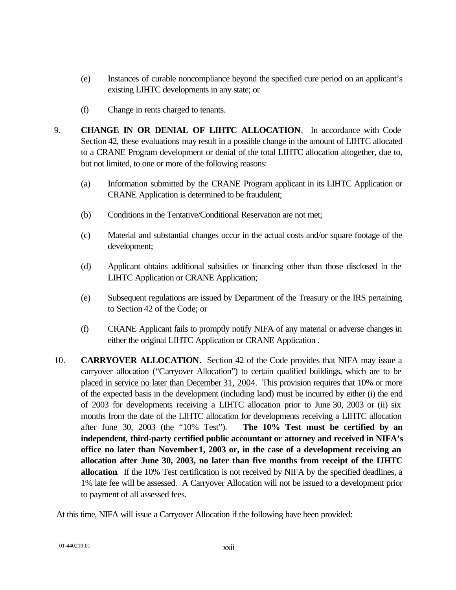- (e) Instances of curable noncompliance beyond the specified cure period on an applicant's existing LIHTC developments in any state; or
- (f) Change in rents charged to tenants.
- 9. **CHANGE IN OR DENIAL OF LIHTC ALLOCATION**. In accordance with Code Section 42, these evaluations may result in a possible change in the amount of LIHTC allocated to a CRANE Program development or denial of the total LIHTC allocation altogether, due to, but not limited, to one or more of the following reasons:
	- (a) Information submitted by the CRANE Program applicant in its LIHTC Application or CRANE Application is determined to be fraudulent;
	- (b) Conditions in the Tentative/Conditional Reservation are not met;
	- (c) Material and substantial changes occur in the actual costs and/or square footage of the development;
	- (d) Applicant obtains additional subsidies or financing other than those disclosed in the LIHTC Application or CRANE Application;
	- (e) Subsequent regulations are issued by Department of the Treasury or the IRS pertaining to Section 42 of the Code; or
	- (f) CRANE Applicant fails to promptly notify NIFA of any material or adverse changes in either the original LIHTC Application or CRANE Application .
- 10. **CARRYOVER ALLOCATION**. Section 42 of the Code provides that NIFA may issue a carryover allocation ("Carryover Allocation") to certain qualified buildings, which are to be placed in service no later than December 31, 2004. This provision requires that 10% or more of the expected basis in the development (including land) must be incurred by either (i) the end of 2003 for developments receiving a LIHTC allocation prior to June 30, 2003 or (ii) six months from the date of the LIHTC allocation for developments receiving a LIHTC allocation after June 30, 2003 (the "10% Test"). **The 10% Test must be certified by an independent, third-party certified public accountant or attorney and received in NIFA's office no later than November1, 2003 or, in the case of a development receiving an allocation after June 30, 2003, no later than five months from receipt of the LIHTC allocation**. If the 10% Test certification is not received by NIFA by the specified deadlines, a 1% late fee will be assessed. A Carryover Allocation will not be issued to a development prior to payment of all assessed fees.

At this time, NIFA will issue a Carryover Allocation if the following have been provided: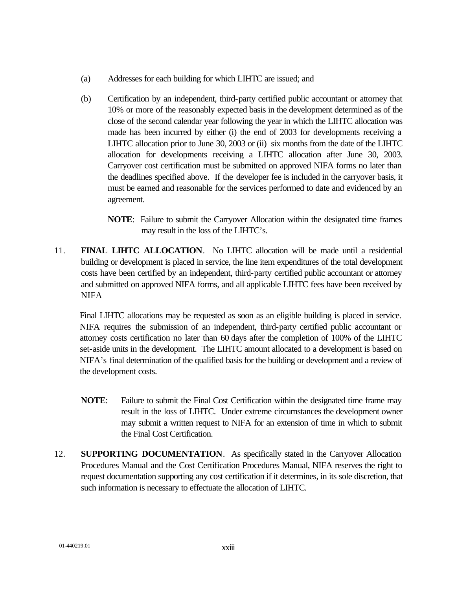- (a) Addresses for each building for which LIHTC are issued; and
- (b) Certification by an independent, third-party certified public accountant or attorney that 10% or more of the reasonably expected basis in the development determined as of the close of the second calendar year following the year in which the LIHTC allocation was made has been incurred by either (i) the end of 2003 for developments receiving a LIHTC allocation prior to June 30, 2003 or (ii) six months from the date of the LIHTC allocation for developments receiving a LIHTC allocation after June 30, 2003. Carryover cost certification must be submitted on approved NIFA forms no later than the deadlines specified above. If the developer fee is included in the carryover basis, it must be earned and reasonable for the services performed to date and evidenced by an agreement.

**NOTE**: Failure to submit the Carryover Allocation within the designated time frames may result in the loss of the LIHTC's.

11. **FINAL LIHTC ALLOCATION**. No LIHTC allocation will be made until a residential building or development is placed in service, the line item expenditures of the total development costs have been certified by an independent, third-party certified public accountant or attorney and submitted on approved NIFA forms, and all applicable LIHTC fees have been received by **NIFA** 

Final LIHTC allocations may be requested as soon as an eligible building is placed in service. NIFA requires the submission of an independent, third-party certified public accountant or attorney costs certification no later than 60 days after the completion of 100% of the LIHTC set-aside units in the development. The LIHTC amount allocated to a development is based on NIFA's final determination of the qualified basis for the building or development and a review of the development costs.

- **NOTE**: Failure to submit the Final Cost Certification within the designated time frame may result in the loss of LIHTC. Under extreme circumstances the development owner may submit a written request to NIFA for an extension of time in which to submit the Final Cost Certification.
- 12. **SUPPORTING DOCUMENTATION**. As specifically stated in the Carryover Allocation Procedures Manual and the Cost Certification Procedures Manual, NIFA reserves the right to request documentation supporting any cost certification if it determines, in its sole discretion, that such information is necessary to effectuate the allocation of LIHTC.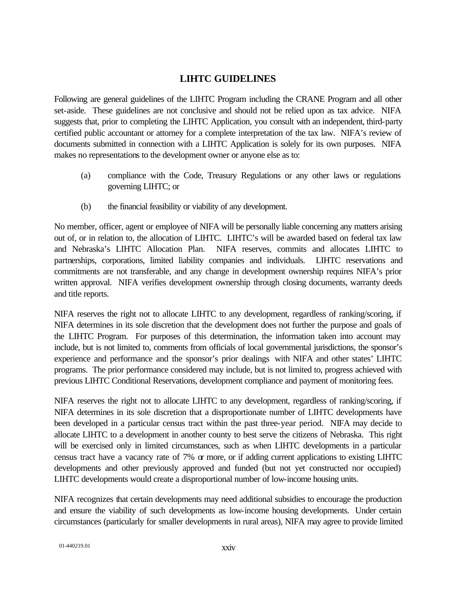#### **LIHTC GUIDELINES**

Following are general guidelines of the LIHTC Program including the CRANE Program and all other set-aside. These guidelines are not conclusive and should not be relied upon as tax advice. NIFA suggests that, prior to completing the LIHTC Application, you consult with an independent, third-party certified public accountant or attorney for a complete interpretation of the tax law. NIFA's review of documents submitted in connection with a LIHTC Application is solely for its own purposes. NIFA makes no representations to the development owner or anyone else as to:

- (a) compliance with the Code, Treasury Regulations or any other laws or regulations governing LIHTC; or
- (b) the financial feasibility or viability of any development.

No member, officer, agent or employee of NIFA will be personally liable concerning any matters arising out of, or in relation to, the allocation of LIHTC. LIHTC's will be awarded based on federal tax law and Nebraska's LIHTC Allocation Plan. NIFA reserves, commits and allocates LIHTC to partnerships, corporations, limited liability companies and individuals. LIHTC reservations and commitments are not transferable, and any change in development ownership requires NIFA's prior written approval. NIFA verifies development ownership through closing documents, warranty deeds and title reports.

NIFA reserves the right not to allocate LIHTC to any development, regardless of ranking/scoring, if NIFA determines in its sole discretion that the development does not further the purpose and goals of the LIHTC Program. For purposes of this determination, the information taken into account may include, but is not limited to, comments from officials of local governmental jurisdictions, the sponsor's experience and performance and the sponsor's prior dealings with NIFA and other states' LIHTC programs. The prior performance considered may include, but is not limited to, progress achieved with previous LIHTC Conditional Reservations, development compliance and payment of monitoring fees.

NIFA reserves the right not to allocate LIHTC to any development, regardless of ranking/scoring, if NIFA determines in its sole discretion that a disproportionate number of LIHTC developments have been developed in a particular census tract within the past three-year period. NIFA may decide to allocate LIHTC to a development in another county to best serve the citizens of Nebraska. This right will be exercised only in limited circumstances, such as when LIHTC developments in a particular census tract have a vacancy rate of 7% or more, or if adding current applications to existing LIHTC developments and other previously approved and funded (but not yet constructed nor occupied) LIHTC developments would create a disproportional number of low-income housing units.

NIFA recognizes that certain developments may need additional subsidies to encourage the production and ensure the viability of such developments as low-income housing developments. Under certain circumstances (particularly for smaller developments in rural areas), NIFA may agree to provide limited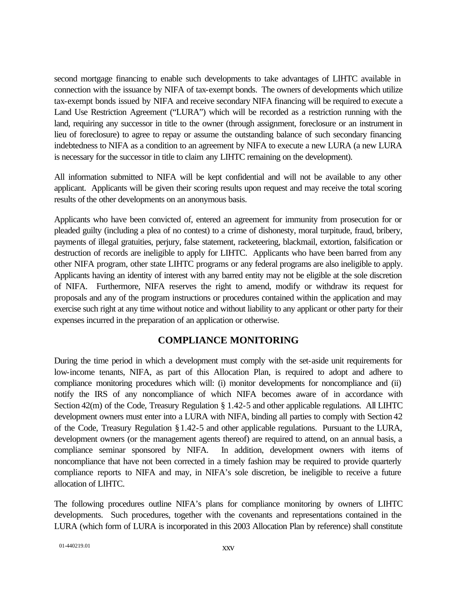second mortgage financing to enable such developments to take advantages of LIHTC available in connection with the issuance by NIFA of tax-exempt bonds. The owners of developments which utilize tax-exempt bonds issued by NIFA and receive secondary NIFA financing will be required to execute a Land Use Restriction Agreement ("LURA") which will be recorded as a restriction running with the land, requiring any successor in title to the owner (through assignment, foreclosure or an instrument in lieu of foreclosure) to agree to repay or assume the outstanding balance of such secondary financing indebtedness to NIFA as a condition to an agreement by NIFA to execute a new LURA (a new LURA is necessary for the successor in title to claim any LIHTC remaining on the development).

All information submitted to NIFA will be kept confidential and will not be available to any other applicant. Applicants will be given their scoring results upon request and may receive the total scoring results of the other developments on an anonymous basis.

Applicants who have been convicted of, entered an agreement for immunity from prosecution for or pleaded guilty (including a plea of no contest) to a crime of dishonesty, moral turpitude, fraud, bribery, payments of illegal gratuities, perjury, false statement, racketeering, blackmail, extortion, falsification or destruction of records are ineligible to apply for LIHTC. Applicants who have been barred from any other NIFA program, other state LIHTC programs or any federal programs are also ineligible to apply. Applicants having an identity of interest with any barred entity may not be eligible at the sole discretion of NIFA. Furthermore, NIFA reserves the right to amend, modify or withdraw its request for proposals and any of the program instructions or procedures contained within the application and may exercise such right at any time without notice and without liability to any applicant or other party for their expenses incurred in the preparation of an application or otherwise.

#### **COMPLIANCE MONITORING**

During the time period in which a development must comply with the set-aside unit requirements for low-income tenants, NIFA, as part of this Allocation Plan, is required to adopt and adhere to compliance monitoring procedures which will: (i) monitor developments for noncompliance and (ii) notify the IRS of any noncompliance of which NIFA becomes aware of in accordance with Section 42(m) of the Code, Treasury Regulation § 1.42-5 and other applicable regulations. All LIHTC development owners must enter into a LURA with NIFA, binding all parties to comply with Section 42 of the Code, Treasury Regulation §1.42-5 and other applicable regulations. Pursuant to the LURA, development owners (or the management agents thereof) are required to attend, on an annual basis, a compliance seminar sponsored by NIFA. In addition, development owners with items of noncompliance that have not been corrected in a timely fashion may be required to provide quarterly compliance reports to NIFA and may, in NIFA's sole discretion, be ineligible to receive a future allocation of LIHTC.

The following procedures outline NIFA's plans for compliance monitoring by owners of LIHTC developments. Such procedures, together with the covenants and representations contained in the LURA (which form of LURA is incorporated in this 2003 Allocation Plan by reference) shall constitute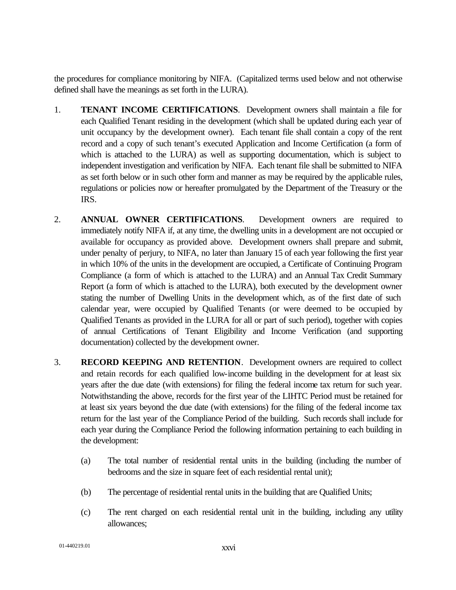the procedures for compliance monitoring by NIFA. (Capitalized terms used below and not otherwise defined shall have the meanings as set forth in the LURA).

- 1. **TENANT INCOME CERTIFICATIONS**. Development owners shall maintain a file for each Qualified Tenant residing in the development (which shall be updated during each year of unit occupancy by the development owner). Each tenant file shall contain a copy of the rent record and a copy of such tenant's executed Application and Income Certification (a form of which is attached to the LURA) as well as supporting documentation, which is subject to independent investigation and verification by NIFA. Each tenant file shall be submitted to NIFA as set forth below or in such other form and manner as may be required by the applicable rules, regulations or policies now or hereafter promulgated by the Department of the Treasury or the IRS.
- 2. **ANNUAL OWNER CERTIFICATIONS**. Development owners are required to immediately notify NIFA if, at any time, the dwelling units in a development are not occupied or available for occupancy as provided above. Development owners shall prepare and submit, under penalty of perjury, to NIFA, no later than January 15 of each year following the first year in which 10% of the units in the development are occupied, a Certificate of Continuing Program Compliance (a form of which is attached to the LURA) and an Annual Tax Credit Summary Report (a form of which is attached to the LURA), both executed by the development owner stating the number of Dwelling Units in the development which, as of the first date of such calendar year, were occupied by Qualified Tenants (or were deemed to be occupied by Qualified Tenants as provided in the LURA for all or part of such period), together with copies of annual Certifications of Tenant Eligibility and Income Verification (and supporting documentation) collected by the development owner.
- 3. **RECORD KEEPING AND RETENTION**. Development owners are required to collect and retain records for each qualified low-income building in the development for at least six years after the due date (with extensions) for filing the federal income tax return for such year. Notwithstanding the above, records for the first year of the LIHTC Period must be retained for at least six years beyond the due date (with extensions) for the filing of the federal income tax return for the last year of the Compliance Period of the building. Such records shall include for each year during the Compliance Period the following information pertaining to each building in the development:
	- (a) The total number of residential rental units in the building (including the number of bedrooms and the size in square feet of each residential rental unit);
	- (b) The percentage of residential rental units in the building that are Qualified Units;
	- (c) The rent charged on each residential rental unit in the building, including any utility allowances;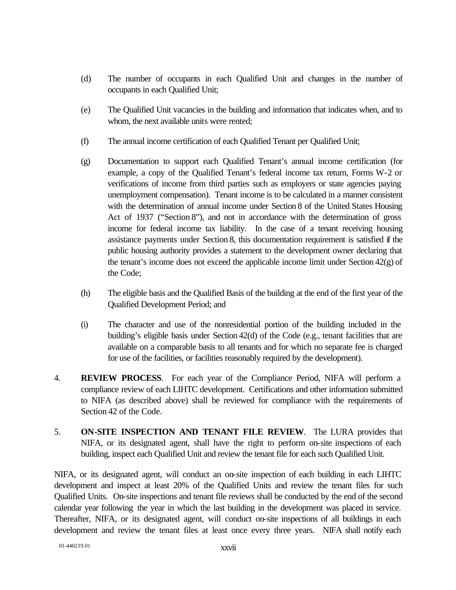- (d) The number of occupants in each Qualified Unit and changes in the number of occupants in each Qualified Unit;
- (e) The Qualified Unit vacancies in the building and information that indicates when, and to whom, the next available units were rented;
- (f) The annual income certification of each Qualified Tenant per Qualified Unit;
- (g) Documentation to support each Qualified Tenant's annual income certification (for example, a copy of the Qualified Tenant's federal income tax return, Forms W-2 or verifications of income from third parties such as employers or state agencies paying unemployment compensation). Tenant income is to be calculated in a manner consistent with the determination of annual income under Section 8 of the United States Housing Act of 1937 ("Section 8"), and not in accordance with the determination of gross income for federal income tax liability. In the case of a tenant receiving housing assistance payments under Section 8, this documentation requirement is satisfied if the public housing authority provides a statement to the development owner declaring that the tenant's income does not exceed the applicable income limit under Section 42(g) of the Code;
- (h) The eligible basis and the Qualified Basis of the building at the end of the first year of the Qualified Development Period; and
- (i) The character and use of the nonresidential portion of the building included in the building's eligible basis under Section 42(d) of the Code (e.g., tenant facilities that are available on a comparable basis to all tenants and for which no separate fee is charged for use of the facilities, or facilities reasonably required by the development).
- 4. **REVIEW PROCESS**. For each year of the Compliance Period, NIFA will perform a compliance review of each LIHTC development. Certifications and other information submitted to NIFA (as described above) shall be reviewed for compliance with the requirements of Section 42 of the Code.
- 5. **ON-SITE INSPECTION AND TENANT FILE REVIEW**. The LURA provides that NIFA, or its designated agent, shall have the right to perform on-site inspections of each building, inspect each Qualified Unit and review the tenant file for each such Qualified Unit.

NIFA, or its designated agent, will conduct an on-site inspection of each building in each LIHTC development and inspect at least 20% of the Qualified Units and review the tenant files for such Qualified Units. On-site inspections and tenant file reviews shall be conducted by the end of the second calendar year following the year in which the last building in the development was placed in service. Thereafter, NIFA, or its designated agent, will conduct on-site inspections of all buildings in each development and review the tenant files at least once every three years. NIFA shall notify each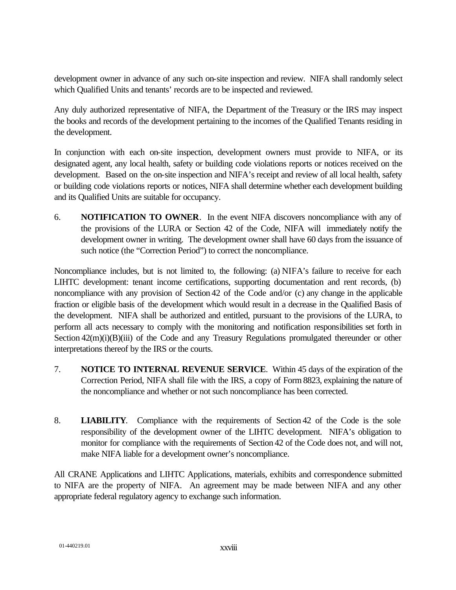development owner in advance of any such on-site inspection and review. NIFA shall randomly select which Qualified Units and tenants' records are to be inspected and reviewed.

Any duly authorized representative of NIFA, the Department of the Treasury or the IRS may inspect the books and records of the development pertaining to the incomes of the Qualified Tenants residing in the development.

In conjunction with each on-site inspection, development owners must provide to NIFA, or its designated agent, any local health, safety or building code violations reports or notices received on the development. Based on the on-site inspection and NIFA's receipt and review of all local health, safety or building code violations reports or notices, NIFA shall determine whether each development building and its Qualified Units are suitable for occupancy.

6. **NOTIFICATION TO OWNER**. In the event NIFA discovers noncompliance with any of the provisions of the LURA or Section 42 of the Code, NIFA will immediately notify the development owner in writing. The development owner shall have 60 days from the issuance of such notice (the "Correction Period") to correct the noncompliance.

Noncompliance includes, but is not limited to, the following: (a) NIFA's failure to receive for each LIHTC development: tenant income certifications, supporting documentation and rent records, (b) noncompliance with any provision of Section 42 of the Code and/or (c) any change in the applicable fraction or eligible basis of the development which would result in a decrease in the Qualified Basis of the development. NIFA shall be authorized and entitled, pursuant to the provisions of the LURA, to perform all acts necessary to comply with the monitoring and notification responsibilities set forth in Section  $42(m)(i)(B)(iii)$  of the Code and any Treasury Regulations promulgated thereunder or other interpretations thereof by the IRS or the courts.

- 7. **NOTICE TO INTERNAL REVENUE SERVICE**. Within 45 days of the expiration of the Correction Period, NIFA shall file with the IRS, a copy of Form 8823, explaining the nature of the noncompliance and whether or not such noncompliance has been corrected.
- 8. **LIABILITY**. Compliance with the requirements of Section 42 of the Code is the sole responsibility of the development owner of the LIHTC development. NIFA's obligation to monitor for compliance with the requirements of Section 42 of the Code does not, and will not, make NIFA liable for a development owner's noncompliance.

All CRANE Applications and LIHTC Applications, materials, exhibits and correspondence submitted to NIFA are the property of NIFA. An agreement may be made between NIFA and any other appropriate federal regulatory agency to exchange such information.